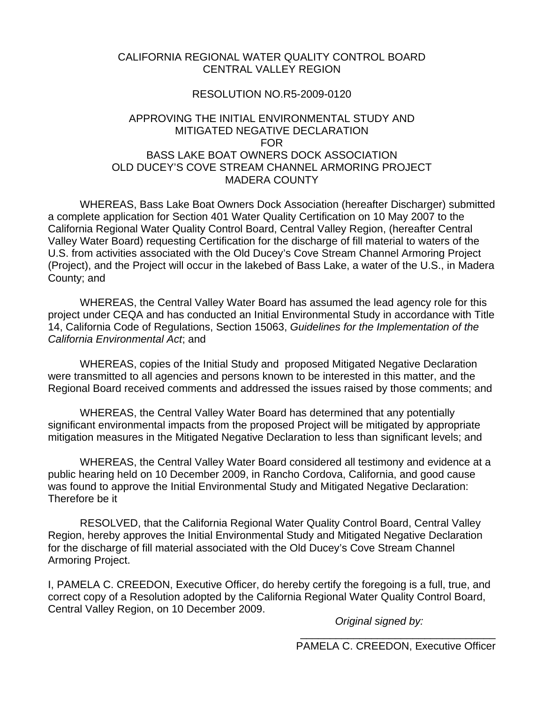#### CALIFORNIA REGIONAL WATER QUALITY CONTROL BOARD CENTRAL VALLEY REGION

#### RESOLUTION NO.R5-2009-0120

#### APPROVING THE INITIAL ENVIRONMENTAL STUDY AND MITIGATED NEGATIVE DECLARATION FOR BASS LAKE BOAT OWNERS DOCK ASSOCIATION OLD DUCEY'S COVE STREAM CHANNEL ARMORING PROJECT MADERA COUNTY

 WHEREAS, Bass Lake Boat Owners Dock Association (hereafter Discharger) submitted a complete application for Section 401 Water Quality Certification on 10 May 2007 to the California Regional Water Quality Control Board, Central Valley Region, (hereafter Central Valley Water Board) requesting Certification for the discharge of fill material to waters of the U.S. from activities associated with the Old Ducey's Cove Stream Channel Armoring Project (Project), and the Project will occur in the lakebed of Bass Lake, a water of the U.S., in Madera County; and

WHEREAS, the Central Valley Water Board has assumed the lead agency role for this project under CEQA and has conducted an Initial Environmental Study in accordance with Title 14, California Code of Regulations, Section 15063, *Guidelines for the Implementation of the California Environmental Act*; and

 WHEREAS, copies of the Initial Study and proposed Mitigated Negative Declaration were transmitted to all agencies and persons known to be interested in this matter, and the Regional Board received comments and addressed the issues raised by those comments; and

WHEREAS, the Central Valley Water Board has determined that any potentially significant environmental impacts from the proposed Project will be mitigated by appropriate mitigation measures in the Mitigated Negative Declaration to less than significant levels; and

 WHEREAS, the Central Valley Water Board considered all testimony and evidence at a public hearing held on 10 December 2009, in Rancho Cordova, California, and good cause was found to approve the Initial Environmental Study and Mitigated Negative Declaration: Therefore be it

 RESOLVED, that the California Regional Water Quality Control Board, Central Valley Region, hereby approves the Initial Environmental Study and Mitigated Negative Declaration for the discharge of fill material associated with the Old Ducey's Cove Stream Channel Armoring Project.

I, PAMELA C. CREEDON, Executive Officer, do hereby certify the foregoing is a full, true, and correct copy of a Resolution adopted by the California Regional Water Quality Control Board, Central Valley Region, on 10 December 2009.

*Original signed by:* 

\_\_\_\_\_\_\_\_\_\_\_\_\_\_\_\_\_\_\_\_\_\_\_\_\_\_\_\_\_\_\_\_\_ PAMELA C. CREEDON, Executive Officer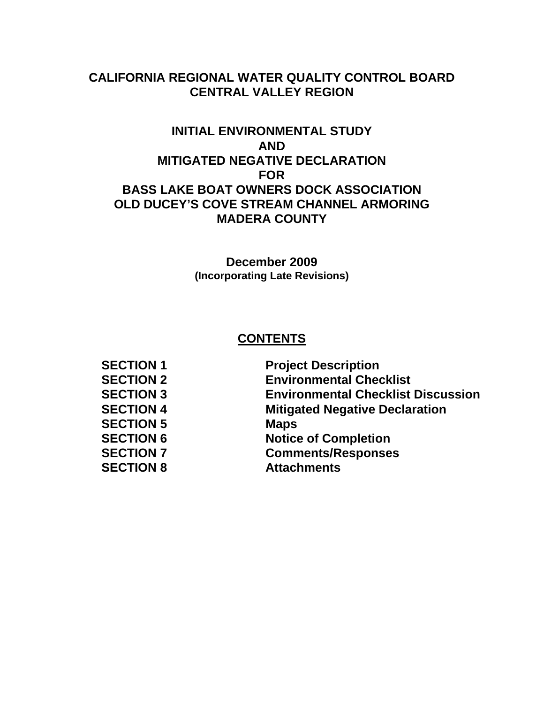# **CALIFORNIA REGIONAL WATER QUALITY CONTROL BOARD CENTRAL VALLEY REGION**

# **INITIAL ENVIRONMENTAL STUDY AND MITIGATED NEGATIVE DECLARATION FOR BASS LAKE BOAT OWNERS DOCK ASSOCIATION OLD DUCEY'S COVE STREAM CHANNEL ARMORING MADERA COUNTY**

**December 2009 (Incorporating Late Revisions)** 

# **CONTENTS**

| <b>Project Description</b>                |
|-------------------------------------------|
| <b>Environmental Checklist</b>            |
| <b>Environmental Checklist Discussion</b> |
| <b>Mitigated Negative Declaration</b>     |
| <b>Maps</b>                               |
| <b>Notice of Completion</b>               |
| <b>Comments/Responses</b>                 |
| <b>Attachments</b>                        |
|                                           |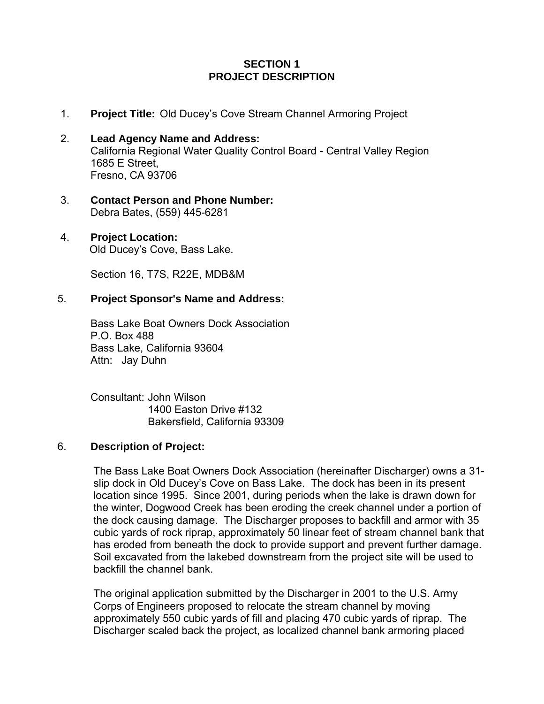#### **SECTION 1 PROJECT DESCRIPTION**

- 1. **Project Title:** Old Ducey's Cove Stream Channel Armoring Project
- 2. **Lead Agency Name and Address:** California Regional Water Quality Control Board - Central Valley Region 1685 E Street, Fresno, CA 93706
- 3. **Contact Person and Phone Number:** Debra Bates, (559) 445-6281

#### 4. **Project Location:**

Old Ducey's Cove, Bass Lake.

Section 16, T7S, R22E, MDB&M

#### 5. **Project Sponsor's Name and Address:**

 Bass Lake Boat Owners Dock Association P.O. Box 488 Bass Lake, California 93604 Attn: Jay Duhn

 Consultant: John Wilson 1400 Easton Drive #132 Bakersfield, California 93309

#### 6. **Description of Project:**

The Bass Lake Boat Owners Dock Association (hereinafter Discharger) owns a 31 slip dock in Old Ducey's Cove on Bass Lake. The dock has been in its present location since 1995. Since 2001, during periods when the lake is drawn down for the winter, Dogwood Creek has been eroding the creek channel under a portion of the dock causing damage. The Discharger proposes to backfill and armor with 35 cubic yards of rock riprap, approximately 50 linear feet of stream channel bank that has eroded from beneath the dock to provide support and prevent further damage. Soil excavated from the lakebed downstream from the project site will be used to backfill the channel bank.

The original application submitted by the Discharger in 2001 to the U.S. Army Corps of Engineers proposed to relocate the stream channel by moving approximately 550 cubic yards of fill and placing 470 cubic yards of riprap. The Discharger scaled back the project, as localized channel bank armoring placed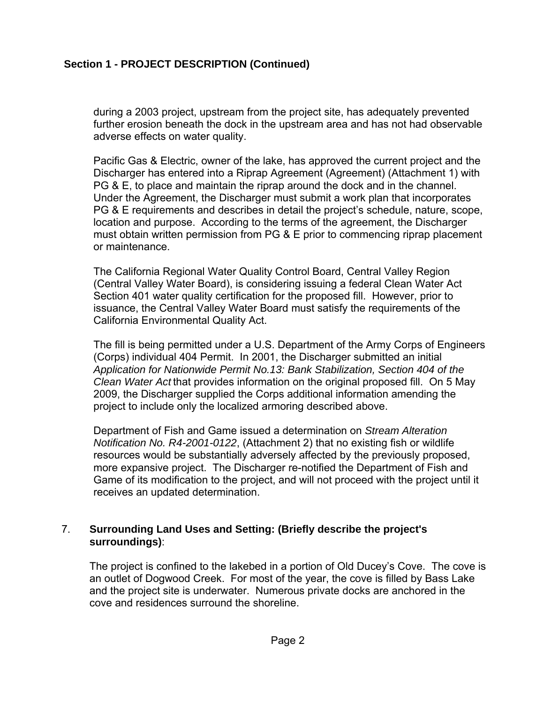### **Section 1 - PROJECT DESCRIPTION (Continued)**

during a 2003 project, upstream from the project site, has adequately prevented further erosion beneath the dock in the upstream area and has not had observable adverse effects on water quality.

Pacific Gas & Electric, owner of the lake, has approved the current project and the Discharger has entered into a Riprap Agreement (Agreement) (Attachment 1) with PG & E, to place and maintain the riprap around the dock and in the channel. Under the Agreement, the Discharger must submit a work plan that incorporates PG & E requirements and describes in detail the project's schedule, nature, scope, location and purpose. According to the terms of the agreement, the Discharger must obtain written permission from PG & E prior to commencing riprap placement or maintenance.

The California Regional Water Quality Control Board, Central Valley Region (Central Valley Water Board), is considering issuing a federal Clean Water Act Section 401 water quality certification for the proposed fill. However, prior to issuance, the Central Valley Water Board must satisfy the requirements of the California Environmental Quality Act.

The fill is being permitted under a U.S. Department of the Army Corps of Engineers (Corps) individual 404 Permit. In 2001, the Discharger submitted an initial *Application for Nationwide Permit No.13: Bank Stabilization, Section 404 of the Clean Water Act* that provides information on the original proposed fill. On 5 May 2009, the Discharger supplied the Corps additional information amending the project to include only the localized armoring described above.

Department of Fish and Game issued a determination on *Stream Alteration Notification No. R4-2001-0122*, (Attachment 2) that no existing fish or wildlife resources would be substantially adversely affected by the previously proposed, more expansive project. The Discharger re-notified the Department of Fish and Game of its modification to the project, and will not proceed with the project until it receives an updated determination.

#### 7. **Surrounding Land Uses and Setting: (Briefly describe the project's surroundings)**:

The project is confined to the lakebed in a portion of Old Ducey's Cove. The cove is an outlet of Dogwood Creek. For most of the year, the cove is filled by Bass Lake and the project site is underwater. Numerous private docks are anchored in the cove and residences surround the shoreline.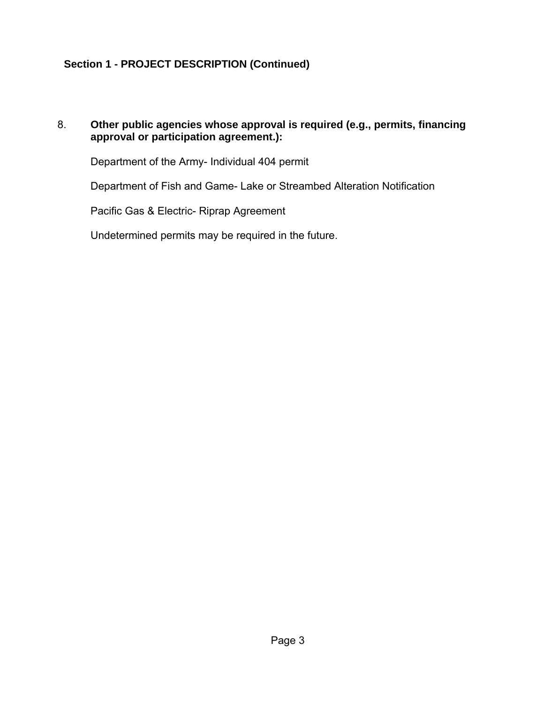# **Section 1 - PROJECT DESCRIPTION (Continued)**

### 8. **Other public agencies whose approval is required (e.g., permits, financing approval or participation agreement.):**

Department of the Army- Individual 404 permit

Department of Fish and Game- Lake or Streambed Alteration Notification

Pacific Gas & Electric- Riprap Agreement

Undetermined permits may be required in the future.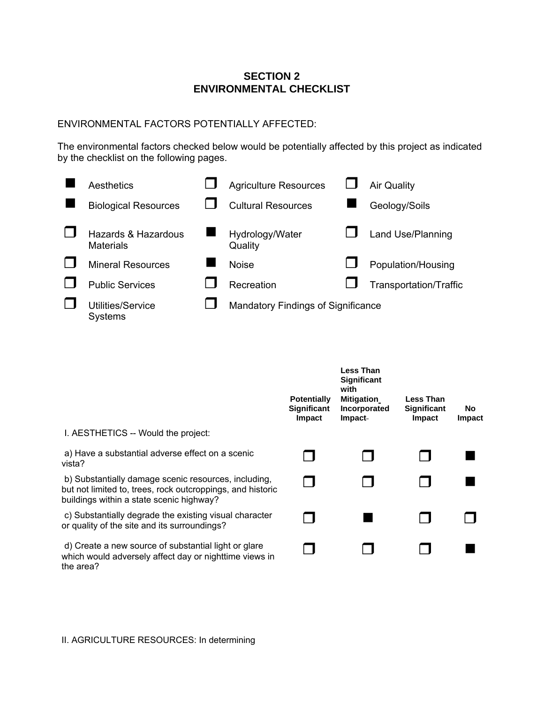#### **SECTION 2 ENVIRONMENTAL CHECKLIST**

#### ENVIRONMENTAL FACTORS POTENTIALLY AFFECTED:

The environmental factors checked below would be potentially affected by this project as indicated by the checklist on the following pages.



|                                                                                                                                                                | <b>Potentially</b><br><b>Significant</b><br>Impact | <b>Less Than</b><br>Significant<br>with<br><b>Mitigation</b><br>Incorporated<br>Impact- | <b>Less Than</b><br><b>Significant</b><br>Impact | <b>No</b><br>Impact |
|----------------------------------------------------------------------------------------------------------------------------------------------------------------|----------------------------------------------------|-----------------------------------------------------------------------------------------|--------------------------------------------------|---------------------|
| I. AESTHETICS -- Would the project:                                                                                                                            |                                                    |                                                                                         |                                                  |                     |
| a) Have a substantial adverse effect on a scenic<br>vista?                                                                                                     |                                                    |                                                                                         |                                                  |                     |
| b) Substantially damage scenic resources, including,<br>but not limited to, trees, rock outcroppings, and historic<br>buildings within a state scenic highway? |                                                    |                                                                                         |                                                  |                     |
| c) Substantially degrade the existing visual character<br>or quality of the site and its surroundings?                                                         |                                                    |                                                                                         |                                                  |                     |
| d) Create a new source of substantial light or glare<br>which would adversely affect day or nighttime views in<br>the area?                                    |                                                    |                                                                                         |                                                  |                     |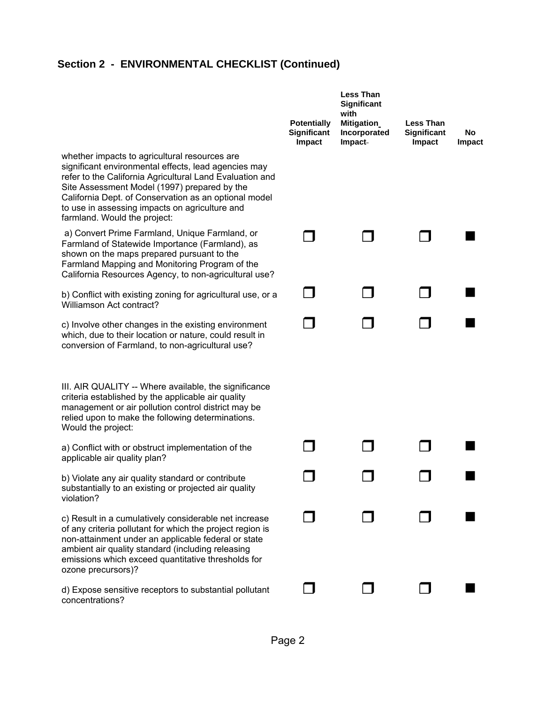|                                                                                                                                                                                                                                                                                                                                                              | <b>Potentially</b><br>Significant<br>Impact | <b>Less Than</b><br>Significant<br>with<br>Mitigation<br>Incorporated<br>Impact- | <b>Less Than</b><br>Significant<br>Impact | No<br><b>Impact</b> |
|--------------------------------------------------------------------------------------------------------------------------------------------------------------------------------------------------------------------------------------------------------------------------------------------------------------------------------------------------------------|---------------------------------------------|----------------------------------------------------------------------------------|-------------------------------------------|---------------------|
| whether impacts to agricultural resources are<br>significant environmental effects, lead agencies may<br>refer to the California Agricultural Land Evaluation and<br>Site Assessment Model (1997) prepared by the<br>California Dept. of Conservation as an optional model<br>to use in assessing impacts on agriculture and<br>farmland. Would the project: |                                             |                                                                                  |                                           |                     |
| a) Convert Prime Farmland, Unique Farmland, or<br>Farmland of Statewide Importance (Farmland), as<br>shown on the maps prepared pursuant to the<br>Farmland Mapping and Monitoring Program of the<br>California Resources Agency, to non-agricultural use?                                                                                                   |                                             |                                                                                  |                                           |                     |
| b) Conflict with existing zoning for agricultural use, or a<br>Williamson Act contract?                                                                                                                                                                                                                                                                      |                                             |                                                                                  |                                           |                     |
| c) Involve other changes in the existing environment<br>which, due to their location or nature, could result in<br>conversion of Farmland, to non-agricultural use?                                                                                                                                                                                          |                                             |                                                                                  |                                           |                     |
| III. AIR QUALITY -- Where available, the significance<br>criteria established by the applicable air quality<br>management or air pollution control district may be<br>relied upon to make the following determinations.<br>Would the project:                                                                                                                |                                             |                                                                                  |                                           |                     |
| a) Conflict with or obstruct implementation of the<br>applicable air quality plan?                                                                                                                                                                                                                                                                           |                                             |                                                                                  |                                           |                     |
| b) Violate any air quality standard or contribute<br>substantially to an existing or projected air quality<br>violation?                                                                                                                                                                                                                                     |                                             |                                                                                  |                                           |                     |
| c) Result in a cumulatively considerable net increase<br>of any criteria pollutant for which the project region is<br>non-attainment under an applicable federal or state<br>ambient air quality standard (including releasing<br>emissions which exceed quantitative thresholds for<br>ozone precursors)?                                                   |                                             |                                                                                  |                                           |                     |
| d) Expose sensitive receptors to substantial pollutant<br>concentrations?                                                                                                                                                                                                                                                                                    |                                             |                                                                                  |                                           |                     |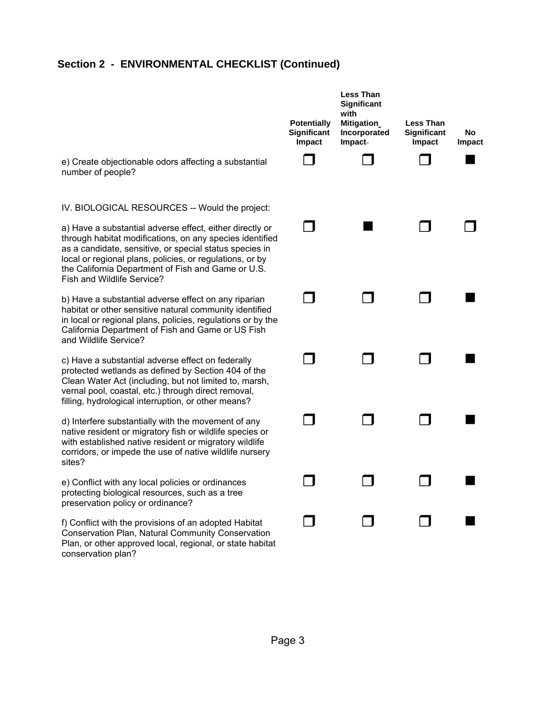|                                                                                                                                                                                                                                                                                                                                                                                   | <b>Potentially</b><br>Significant<br>Impact | <b>Less Than</b><br>Significant<br>with<br><b>Mitigation</b><br>Incorporated<br>Impact- | <b>Less Than</b><br>Significant<br>Impact | No<br><b>Impact</b> |
|-----------------------------------------------------------------------------------------------------------------------------------------------------------------------------------------------------------------------------------------------------------------------------------------------------------------------------------------------------------------------------------|---------------------------------------------|-----------------------------------------------------------------------------------------|-------------------------------------------|---------------------|
| e) Create objectionable odors affecting a substantial<br>number of people?                                                                                                                                                                                                                                                                                                        |                                             |                                                                                         |                                           |                     |
| IV. BIOLOGICAL RESOURCES -- Would the project:<br>a) Have a substantial adverse effect, either directly or<br>through habitat modifications, on any species identified<br>as a candidate, sensitive, or special status species in<br>local or regional plans, policies, or regulations, or by<br>the California Department of Fish and Game or U.S.<br>Fish and Wildlife Service? |                                             |                                                                                         |                                           |                     |
| b) Have a substantial adverse effect on any riparian<br>habitat or other sensitive natural community identified<br>in local or regional plans, policies, regulations or by the<br>California Department of Fish and Game or US Fish<br>and Wildlife Service?                                                                                                                      |                                             |                                                                                         |                                           |                     |
| c) Have a substantial adverse effect on federally<br>protected wetlands as defined by Section 404 of the<br>Clean Water Act (including, but not limited to, marsh,<br>vernal pool, coastal, etc.) through direct removal,<br>filling, hydrological interruption, or other means?                                                                                                  |                                             |                                                                                         |                                           |                     |
| d) Interfere substantially with the movement of any<br>native resident or migratory fish or wildlife species or<br>with established native resident or migratory wildlife<br>corridors, or impede the use of native wildlife nursery<br>sites?                                                                                                                                    |                                             |                                                                                         |                                           |                     |
| e) Conflict with any local policies or ordinances<br>protecting biological resources, such as a tree<br>preservation policy or ordinance?                                                                                                                                                                                                                                         |                                             |                                                                                         |                                           |                     |
| f) Conflict with the provisions of an adopted Habitat<br>Conservation Plan, Natural Community Conservation<br>Plan, or other approved local, regional, or state habitat<br>conservation plan?                                                                                                                                                                                     |                                             |                                                                                         |                                           |                     |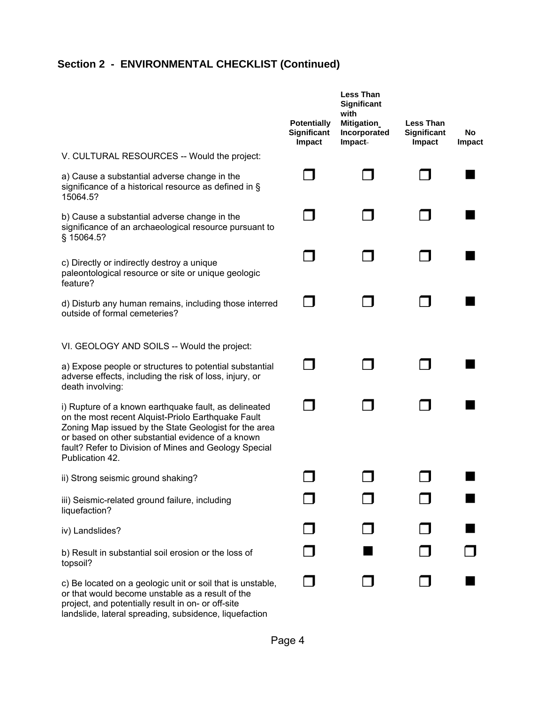|                                                                                                                                                                                                                                                                                                       | <b>Potentially</b><br>Significant<br>Impact | <b>Less Than</b><br>Significant<br>with<br>Mitigation<br>Incorporated<br><b>Impact</b> | <b>Less Than</b><br>Significant<br>Impact | No.<br><b>Impact</b> |
|-------------------------------------------------------------------------------------------------------------------------------------------------------------------------------------------------------------------------------------------------------------------------------------------------------|---------------------------------------------|----------------------------------------------------------------------------------------|-------------------------------------------|----------------------|
| V. CULTURAL RESOURCES -- Would the project:                                                                                                                                                                                                                                                           |                                             |                                                                                        |                                           |                      |
| a) Cause a substantial adverse change in the<br>significance of a historical resource as defined in §<br>15064.5?                                                                                                                                                                                     |                                             |                                                                                        |                                           |                      |
| b) Cause a substantial adverse change in the<br>significance of an archaeological resource pursuant to<br>§ 15064.5?                                                                                                                                                                                  |                                             |                                                                                        |                                           |                      |
| c) Directly or indirectly destroy a unique<br>paleontological resource or site or unique geologic<br>feature?                                                                                                                                                                                         |                                             |                                                                                        |                                           |                      |
| d) Disturb any human remains, including those interred<br>outside of formal cemeteries?                                                                                                                                                                                                               |                                             |                                                                                        |                                           |                      |
| VI. GEOLOGY AND SOILS -- Would the project:                                                                                                                                                                                                                                                           |                                             |                                                                                        |                                           |                      |
| a) Expose people or structures to potential substantial<br>adverse effects, including the risk of loss, injury, or<br>death involving:                                                                                                                                                                |                                             |                                                                                        |                                           |                      |
| i) Rupture of a known earthquake fault, as delineated<br>on the most recent Alquist-Priolo Earthquake Fault<br>Zoning Map issued by the State Geologist for the area<br>or based on other substantial evidence of a known<br>fault? Refer to Division of Mines and Geology Special<br>Publication 42. |                                             |                                                                                        |                                           |                      |
| ii) Strong seismic ground shaking?                                                                                                                                                                                                                                                                    |                                             |                                                                                        |                                           |                      |
| iii) Seismic-related ground failure, including<br>liquefaction?                                                                                                                                                                                                                                       |                                             |                                                                                        |                                           |                      |
| iv) Landslides?                                                                                                                                                                                                                                                                                       |                                             |                                                                                        |                                           |                      |
| b) Result in substantial soil erosion or the loss of<br>topsoil?                                                                                                                                                                                                                                      |                                             |                                                                                        |                                           |                      |
| c) Be located on a geologic unit or soil that is unstable,<br>or that would become unstable as a result of the<br>project, and potentially result in on- or off-site<br>landslide, lateral spreading, subsidence, liquefaction                                                                        |                                             |                                                                                        |                                           |                      |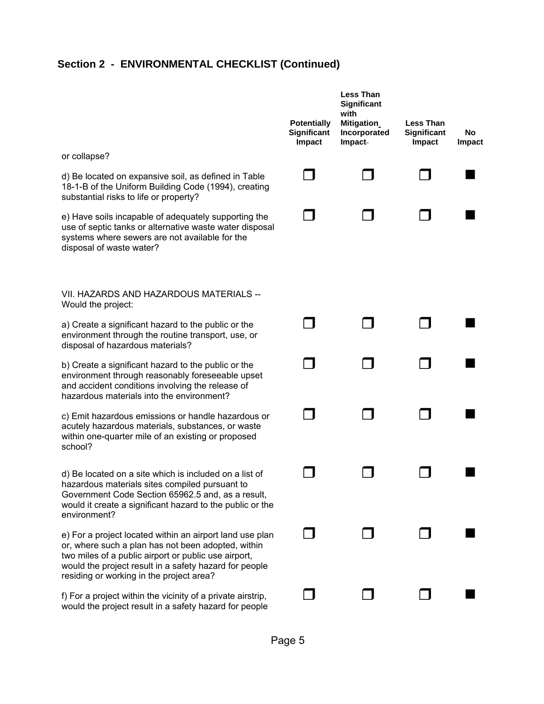|                                                                                                                                                                                                                                                                              | <b>Potentially</b><br>Significant<br>Impact | <b>Less Than</b><br>Significant<br>with<br>Mitigation<br>Incorporated<br><b>Impact</b> | <b>Less Than</b><br>Significant<br>Impact | No<br>Impact |
|------------------------------------------------------------------------------------------------------------------------------------------------------------------------------------------------------------------------------------------------------------------------------|---------------------------------------------|----------------------------------------------------------------------------------------|-------------------------------------------|--------------|
| or collapse?                                                                                                                                                                                                                                                                 |                                             |                                                                                        |                                           |              |
| d) Be located on expansive soil, as defined in Table<br>18-1-B of the Uniform Building Code (1994), creating<br>substantial risks to life or property?                                                                                                                       |                                             |                                                                                        |                                           |              |
| e) Have soils incapable of adequately supporting the<br>use of septic tanks or alternative waste water disposal<br>systems where sewers are not available for the<br>disposal of waste water?                                                                                |                                             |                                                                                        |                                           |              |
| VII. HAZARDS AND HAZARDOUS MATERIALS --<br>Would the project:                                                                                                                                                                                                                |                                             |                                                                                        |                                           |              |
| a) Create a significant hazard to the public or the<br>environment through the routine transport, use, or<br>disposal of hazardous materials?                                                                                                                                |                                             |                                                                                        |                                           |              |
| b) Create a significant hazard to the public or the<br>environment through reasonably foreseeable upset<br>and accident conditions involving the release of<br>hazardous materials into the environment?                                                                     |                                             |                                                                                        |                                           |              |
| c) Emit hazardous emissions or handle hazardous or<br>acutely hazardous materials, substances, or waste<br>within one-quarter mile of an existing or proposed<br>school?                                                                                                     |                                             |                                                                                        |                                           |              |
| d) Be located on a site which is included on a list of<br>hazardous materials sites compiled pursuant to<br>Government Code Section 65962.5 and, as a result,<br>would it create a significant hazard to the public or the<br>environment?                                   |                                             |                                                                                        |                                           |              |
| e) For a project located within an airport land use plan<br>or, where such a plan has not been adopted, within<br>two miles of a public airport or public use airport,<br>would the project result in a safety hazard for people<br>residing or working in the project area? |                                             |                                                                                        |                                           |              |
| f) For a project within the vicinity of a private airstrip,<br>would the project result in a safety hazard for people                                                                                                                                                        |                                             |                                                                                        |                                           |              |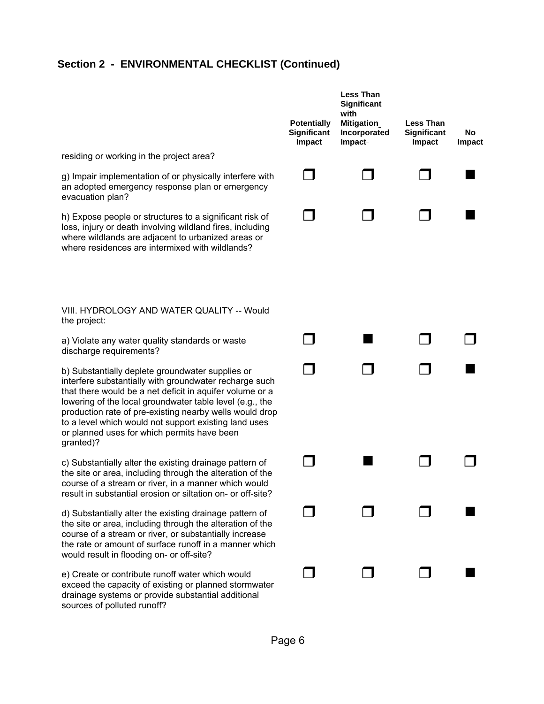|                                                                                                                                                                                                                                                                                                                                                                                                                    | <b>Potentially</b><br>Significant<br>Impact | <b>Less Than</b><br>Significant<br>with<br><b>Mitigation</b><br>Incorporated<br><b>Impact</b> | <b>Less Than</b><br>Significant<br>Impact | No<br>Impact |
|--------------------------------------------------------------------------------------------------------------------------------------------------------------------------------------------------------------------------------------------------------------------------------------------------------------------------------------------------------------------------------------------------------------------|---------------------------------------------|-----------------------------------------------------------------------------------------------|-------------------------------------------|--------------|
| residing or working in the project area?                                                                                                                                                                                                                                                                                                                                                                           |                                             |                                                                                               |                                           |              |
| g) Impair implementation of or physically interfere with<br>an adopted emergency response plan or emergency<br>evacuation plan?                                                                                                                                                                                                                                                                                    |                                             |                                                                                               |                                           |              |
| h) Expose people or structures to a significant risk of<br>loss, injury or death involving wildland fires, including<br>where wildlands are adjacent to urbanized areas or<br>where residences are intermixed with wildlands?                                                                                                                                                                                      |                                             |                                                                                               |                                           |              |
| VIII. HYDROLOGY AND WATER QUALITY -- Would<br>the project:                                                                                                                                                                                                                                                                                                                                                         |                                             |                                                                                               |                                           |              |
| a) Violate any water quality standards or waste<br>discharge requirements?                                                                                                                                                                                                                                                                                                                                         |                                             |                                                                                               |                                           |              |
| b) Substantially deplete groundwater supplies or<br>interfere substantially with groundwater recharge such<br>that there would be a net deficit in aquifer volume or a<br>lowering of the local groundwater table level (e.g., the<br>production rate of pre-existing nearby wells would drop<br>to a level which would not support existing land uses<br>or planned uses for which permits have been<br>granted)? |                                             |                                                                                               | H                                         |              |
| c) Substantially alter the existing drainage pattern of<br>the site or area, including through the alteration of the<br>course of a stream or river, in a manner which would<br>result in substantial erosion or siltation on- or off-site?                                                                                                                                                                        |                                             |                                                                                               |                                           |              |
| d) Substantially alter the existing drainage pattern of<br>the site or area, including through the alteration of the<br>course of a stream or river, or substantially increase<br>the rate or amount of surface runoff in a manner which<br>would result in flooding on- or off-site?                                                                                                                              |                                             |                                                                                               |                                           |              |
| e) Create or contribute runoff water which would<br>exceed the capacity of existing or planned stormwater<br>drainage systems or provide substantial additional<br>sources of polluted runoff?                                                                                                                                                                                                                     |                                             |                                                                                               |                                           |              |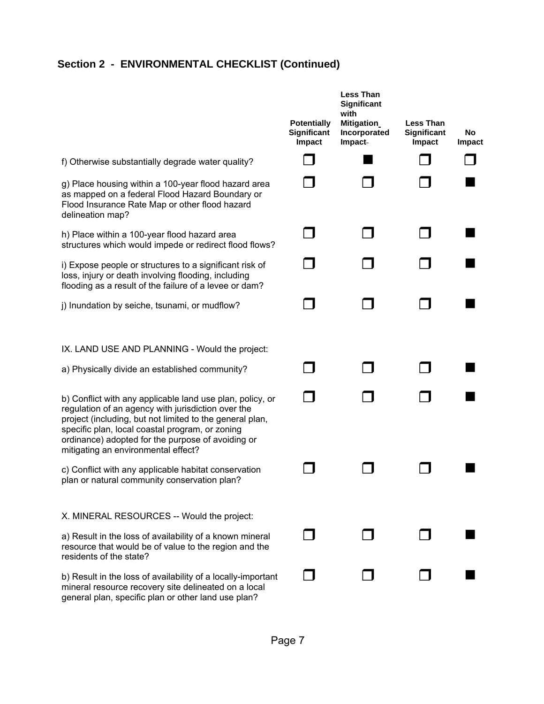|                                                                                                                                                                                                                                                                                                                            | <b>Potentially</b><br>Significant<br>Impact | <b>Less Than</b><br><b>Significant</b><br>with<br>Mitigation<br>Incorporated<br>Impact | <b>Less Than</b><br><b>Significant</b><br>Impact | <b>No</b><br>Impact |
|----------------------------------------------------------------------------------------------------------------------------------------------------------------------------------------------------------------------------------------------------------------------------------------------------------------------------|---------------------------------------------|----------------------------------------------------------------------------------------|--------------------------------------------------|---------------------|
| f) Otherwise substantially degrade water quality?                                                                                                                                                                                                                                                                          |                                             |                                                                                        |                                                  |                     |
| g) Place housing within a 100-year flood hazard area<br>as mapped on a federal Flood Hazard Boundary or<br>Flood Insurance Rate Map or other flood hazard<br>delineation map?                                                                                                                                              |                                             |                                                                                        |                                                  |                     |
| h) Place within a 100-year flood hazard area<br>structures which would impede or redirect flood flows?                                                                                                                                                                                                                     |                                             |                                                                                        |                                                  |                     |
| i) Expose people or structures to a significant risk of<br>loss, injury or death involving flooding, including<br>flooding as a result of the failure of a levee or dam?                                                                                                                                                   |                                             |                                                                                        |                                                  |                     |
| j) Inundation by seiche, tsunami, or mudflow?                                                                                                                                                                                                                                                                              |                                             |                                                                                        |                                                  |                     |
| IX. LAND USE AND PLANNING - Would the project:                                                                                                                                                                                                                                                                             |                                             |                                                                                        |                                                  |                     |
| a) Physically divide an established community?                                                                                                                                                                                                                                                                             |                                             |                                                                                        |                                                  |                     |
| b) Conflict with any applicable land use plan, policy, or<br>regulation of an agency with jurisdiction over the<br>project (including, but not limited to the general plan,<br>specific plan, local coastal program, or zoning<br>ordinance) adopted for the purpose of avoiding or<br>mitigating an environmental effect? |                                             |                                                                                        |                                                  |                     |
| c) Conflict with any applicable habitat conservation<br>plan or natural community conservation plan?                                                                                                                                                                                                                       |                                             |                                                                                        |                                                  |                     |
| X. MINERAL RESOURCES -- Would the project:                                                                                                                                                                                                                                                                                 |                                             |                                                                                        |                                                  |                     |
| a) Result in the loss of availability of a known mineral<br>resource that would be of value to the region and the<br>residents of the state?                                                                                                                                                                               |                                             |                                                                                        |                                                  |                     |
| b) Result in the loss of availability of a locally-important<br>mineral resource recovery site delineated on a local<br>general plan, specific plan or other land use plan?                                                                                                                                                |                                             |                                                                                        |                                                  |                     |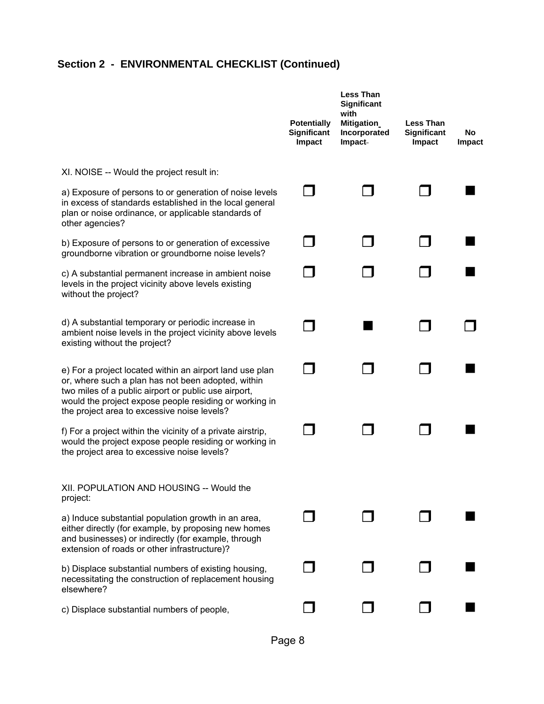|                                                                                                                                                                                                                                                                                 | <b>Potentially</b><br>Significant<br>Impact | <b>Less Than</b><br>Significant<br>with<br><b>Mitigation</b><br>Incorporated<br>Impact- | <b>Less Than</b><br>Significant<br>Impact | No<br>Impact |
|---------------------------------------------------------------------------------------------------------------------------------------------------------------------------------------------------------------------------------------------------------------------------------|---------------------------------------------|-----------------------------------------------------------------------------------------|-------------------------------------------|--------------|
| XI. NOISE -- Would the project result in:                                                                                                                                                                                                                                       |                                             |                                                                                         |                                           |              |
| a) Exposure of persons to or generation of noise levels<br>in excess of standards established in the local general<br>plan or noise ordinance, or applicable standards of<br>other agencies?                                                                                    |                                             |                                                                                         |                                           |              |
| b) Exposure of persons to or generation of excessive<br>groundborne vibration or groundborne noise levels?                                                                                                                                                                      |                                             |                                                                                         |                                           |              |
| c) A substantial permanent increase in ambient noise<br>levels in the project vicinity above levels existing<br>without the project?                                                                                                                                            |                                             |                                                                                         |                                           |              |
| d) A substantial temporary or periodic increase in<br>ambient noise levels in the project vicinity above levels<br>existing without the project?                                                                                                                                |                                             |                                                                                         |                                           |              |
| e) For a project located within an airport land use plan<br>or, where such a plan has not been adopted, within<br>two miles of a public airport or public use airport,<br>would the project expose people residing or working in<br>the project area to excessive noise levels? |                                             |                                                                                         |                                           |              |
| f) For a project within the vicinity of a private airstrip,<br>would the project expose people residing or working in<br>the project area to excessive noise levels?                                                                                                            |                                             |                                                                                         |                                           |              |
| XII. POPULATION AND HOUSING -- Would the<br>project:                                                                                                                                                                                                                            |                                             |                                                                                         |                                           |              |
| a) Induce substantial population growth in an area,<br>either directly (for example, by proposing new homes<br>and businesses) or indirectly (for example, through<br>extension of roads or other infrastructure)?                                                              |                                             |                                                                                         |                                           |              |
| b) Displace substantial numbers of existing housing,<br>necessitating the construction of replacement housing<br>elsewhere?                                                                                                                                                     |                                             |                                                                                         |                                           |              |
| c) Displace substantial numbers of people,                                                                                                                                                                                                                                      |                                             |                                                                                         |                                           |              |

Page 8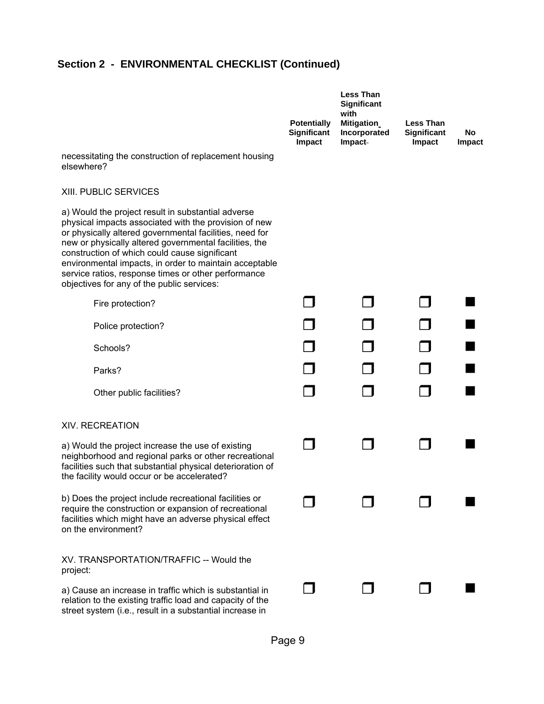| necessitating the construction of replacement housing<br>elsewhere?                                                                                                                                                                                                                                                                                                                                                                              | <b>Potentially</b><br>Significant<br>Impact | <b>Less Than</b><br>Significant<br>with<br>Mitigation<br>Incorporated<br>Impact | <b>Less Than</b><br>Significant<br>Impact | No<br>Impact |
|--------------------------------------------------------------------------------------------------------------------------------------------------------------------------------------------------------------------------------------------------------------------------------------------------------------------------------------------------------------------------------------------------------------------------------------------------|---------------------------------------------|---------------------------------------------------------------------------------|-------------------------------------------|--------------|
| <b>XIII. PUBLIC SERVICES</b>                                                                                                                                                                                                                                                                                                                                                                                                                     |                                             |                                                                                 |                                           |              |
| a) Would the project result in substantial adverse<br>physical impacts associated with the provision of new<br>or physically altered governmental facilities, need for<br>new or physically altered governmental facilities, the<br>construction of which could cause significant<br>environmental impacts, in order to maintain acceptable<br>service ratios, response times or other performance<br>objectives for any of the public services: |                                             |                                                                                 |                                           |              |
| Fire protection?                                                                                                                                                                                                                                                                                                                                                                                                                                 |                                             |                                                                                 |                                           |              |
| Police protection?                                                                                                                                                                                                                                                                                                                                                                                                                               |                                             |                                                                                 |                                           |              |
| Schools?                                                                                                                                                                                                                                                                                                                                                                                                                                         |                                             |                                                                                 |                                           |              |
| Parks?                                                                                                                                                                                                                                                                                                                                                                                                                                           |                                             |                                                                                 |                                           |              |
| Other public facilities?                                                                                                                                                                                                                                                                                                                                                                                                                         |                                             |                                                                                 |                                           |              |
| <b>XIV. RECREATION</b>                                                                                                                                                                                                                                                                                                                                                                                                                           |                                             |                                                                                 |                                           |              |
| a) Would the project increase the use of existing<br>neighborhood and regional parks or other recreational<br>facilities such that substantial physical deterioration of<br>the facility would occur or be accelerated?                                                                                                                                                                                                                          |                                             |                                                                                 |                                           |              |
| b) Does the project include recreational facilities or<br>require the construction or expansion of recreational<br>facilities which might have an adverse physical effect<br>on the environment?                                                                                                                                                                                                                                                 |                                             |                                                                                 |                                           |              |
| XV. TRANSPORTATION/TRAFFIC -- Would the<br>project:                                                                                                                                                                                                                                                                                                                                                                                              |                                             |                                                                                 |                                           |              |
| a) Cause an increase in traffic which is substantial in<br>relation to the existing traffic load and capacity of the<br>street system (i.e., result in a substantial increase in                                                                                                                                                                                                                                                                 |                                             |                                                                                 |                                           |              |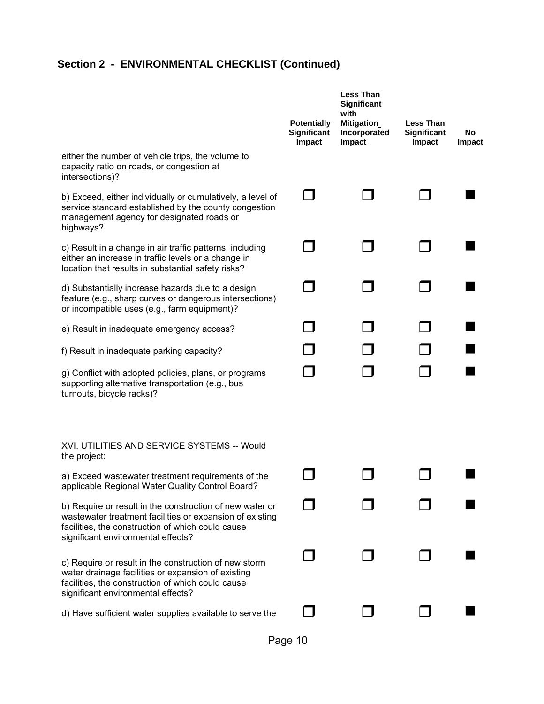|                                                                                                                                                                                                                 | <b>Potentially</b><br>Significant<br>Impact | <b>Less Than</b><br><b>Significant</b><br>with<br>Mitigation<br>Incorporated<br>Impact | <b>Less Than</b><br>Significant<br>Impact | No<br><b>Impact</b> |
|-----------------------------------------------------------------------------------------------------------------------------------------------------------------------------------------------------------------|---------------------------------------------|----------------------------------------------------------------------------------------|-------------------------------------------|---------------------|
| either the number of vehicle trips, the volume to<br>capacity ratio on roads, or congestion at<br>intersections)?                                                                                               |                                             |                                                                                        |                                           |                     |
| b) Exceed, either individually or cumulatively, a level of<br>service standard established by the county congestion<br>management agency for designated roads or<br>highways?                                   |                                             |                                                                                        |                                           |                     |
| c) Result in a change in air traffic patterns, including<br>either an increase in traffic levels or a change in<br>location that results in substantial safety risks?                                           |                                             |                                                                                        |                                           |                     |
| d) Substantially increase hazards due to a design<br>feature (e.g., sharp curves or dangerous intersections)<br>or incompatible uses (e.g., farm equipment)?                                                    |                                             |                                                                                        |                                           |                     |
| e) Result in inadequate emergency access?                                                                                                                                                                       |                                             |                                                                                        |                                           |                     |
| f) Result in inadequate parking capacity?                                                                                                                                                                       |                                             |                                                                                        |                                           |                     |
| g) Conflict with adopted policies, plans, or programs<br>supporting alternative transportation (e.g., bus<br>turnouts, bicycle racks)?                                                                          |                                             |                                                                                        |                                           |                     |
| XVI. UTILITIES AND SERVICE SYSTEMS -- Would<br>the project:                                                                                                                                                     |                                             |                                                                                        |                                           |                     |
| a) Exceed wastewater treatment requirements of the<br>applicable Regional Water Quality Control Board?                                                                                                          |                                             |                                                                                        |                                           |                     |
| b) Require or result in the construction of new water or<br>wastewater treatment facilities or expansion of existing<br>facilities, the construction of which could cause<br>significant environmental effects? |                                             |                                                                                        |                                           |                     |
| c) Require or result in the construction of new storm<br>water drainage facilities or expansion of existing<br>facilities, the construction of which could cause<br>significant environmental effects?          |                                             |                                                                                        |                                           |                     |
| d) Have sufficient water supplies available to serve the                                                                                                                                                        |                                             |                                                                                        |                                           |                     |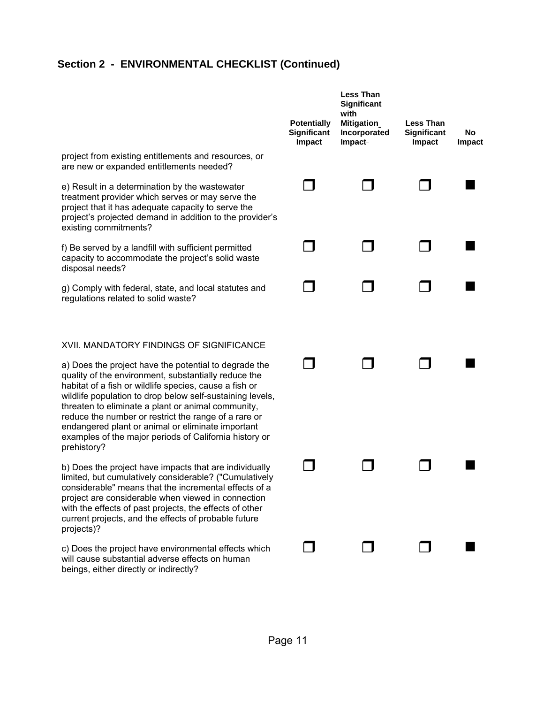|                                                                                                                                                                                                                                                                                                                                                                                                                                                                                  | <b>Potentially</b><br>Significant<br>Impact | <b>Less Than</b><br>Significant<br>with<br>Mitigation<br>Incorporated<br>Impact | <b>Less Than</b><br>Significant<br><b>Impact</b> | No<br>Impact |
|----------------------------------------------------------------------------------------------------------------------------------------------------------------------------------------------------------------------------------------------------------------------------------------------------------------------------------------------------------------------------------------------------------------------------------------------------------------------------------|---------------------------------------------|---------------------------------------------------------------------------------|--------------------------------------------------|--------------|
| project from existing entitlements and resources, or<br>are new or expanded entitlements needed?                                                                                                                                                                                                                                                                                                                                                                                 |                                             |                                                                                 |                                                  |              |
| e) Result in a determination by the wastewater<br>treatment provider which serves or may serve the<br>project that it has adequate capacity to serve the<br>project's projected demand in addition to the provider's<br>existing commitments?                                                                                                                                                                                                                                    |                                             |                                                                                 |                                                  |              |
| f) Be served by a landfill with sufficient permitted<br>capacity to accommodate the project's solid waste<br>disposal needs?                                                                                                                                                                                                                                                                                                                                                     |                                             |                                                                                 |                                                  |              |
| g) Comply with federal, state, and local statutes and<br>regulations related to solid waste?                                                                                                                                                                                                                                                                                                                                                                                     |                                             |                                                                                 |                                                  |              |
| XVII. MANDATORY FINDINGS OF SIGNIFICANCE                                                                                                                                                                                                                                                                                                                                                                                                                                         |                                             |                                                                                 |                                                  |              |
| a) Does the project have the potential to degrade the<br>quality of the environment, substantially reduce the<br>habitat of a fish or wildlife species, cause a fish or<br>wildlife population to drop below self-sustaining levels,<br>threaten to eliminate a plant or animal community,<br>reduce the number or restrict the range of a rare or<br>endangered plant or animal or eliminate important<br>examples of the major periods of California history or<br>prehistory? |                                             |                                                                                 |                                                  |              |
| b) Does the project have impacts that are individually<br>limited, but cumulatively considerable? ("Cumulatively<br>considerable" means that the incremental effects of a<br>project are considerable when viewed in connection<br>with the effects of past projects, the effects of other<br>current projects, and the effects of probable future<br>projects)?                                                                                                                 |                                             |                                                                                 |                                                  |              |
| c) Does the project have environmental effects which<br>will cause substantial adverse effects on human<br>beings, either directly or indirectly?                                                                                                                                                                                                                                                                                                                                |                                             |                                                                                 |                                                  |              |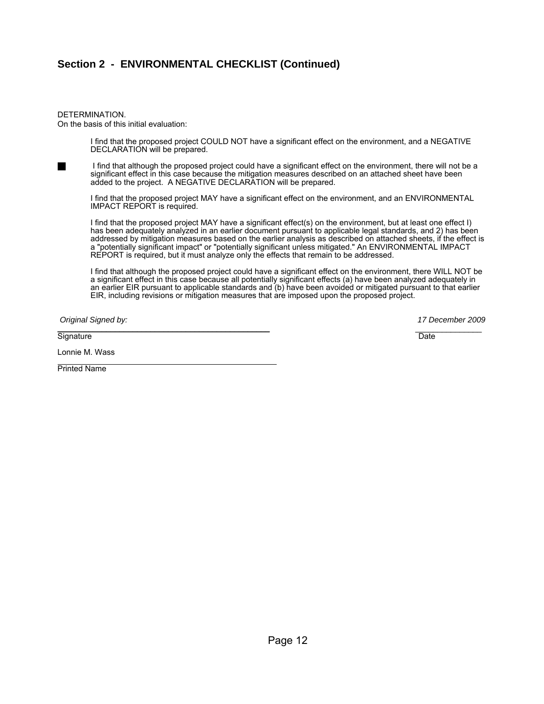#### DETERMINATION. On the basis of this initial evaluation:

 I find that the proposed project COULD NOT have a significant effect on the environment, and a NEGATIVE DECLARATION will be prepared.

I find that although the proposed project could have a significant effect on the environment, there will not be a significant effect in this case because the mitigation measures described on an attached sheet have been added to the project. A NEGATIVE DECLARATION will be prepared.

 I find that the proposed project MAY have a significant effect on the environment, and an ENVIRONMENTAL IMPACT REPORT is required.

 I find that the proposed project MAY have a significant effect(s) on the environment, but at least one effect I) has been adequately analyzed in an earlier document pursuant to applicable legal standards, and 2) has been addressed by mitigation measures based on the earlier analysis as described on attached sheets, if the effect is a "potentially significant impact" or "potentially significant unless mitigated." An ENVIRONMENTAL IMPACT REPORT is required, but it must analyze only the effects that remain to be addressed.

 I find that although the proposed project could have a significant effect on the environment, there WILL NOT be a significant effect in this case because all potentially significant effects (a) have been analyzed adequately in an earlier EIR pursuant to applicable standards and (b) have been avoided or mitigated pursuant to that earlier EIR, including revisions or mitigation measures that are imposed upon the proposed project.

 *Original Signed by: 17 December 2009*  \_\_\_\_\_\_\_\_\_\_\_\_\_\_\_\_\_\_\_\_\_\_\_\_\_\_\_\_\_\_\_\_\_\_\_\_\_\_\_\_\_\_\_\_\_\_\_\_ \_\_\_\_\_\_\_\_\_\_\_\_\_\_\_

Signature Date Date of the Contract of the Contract of the Contract of the Date Date Date Date of the Date of the Date of the Date of the Date of the Date of the Date of the Date of the Date of the Date of the Date of the

Lonnie M. Wass

 $\overline{a}$ Printed Name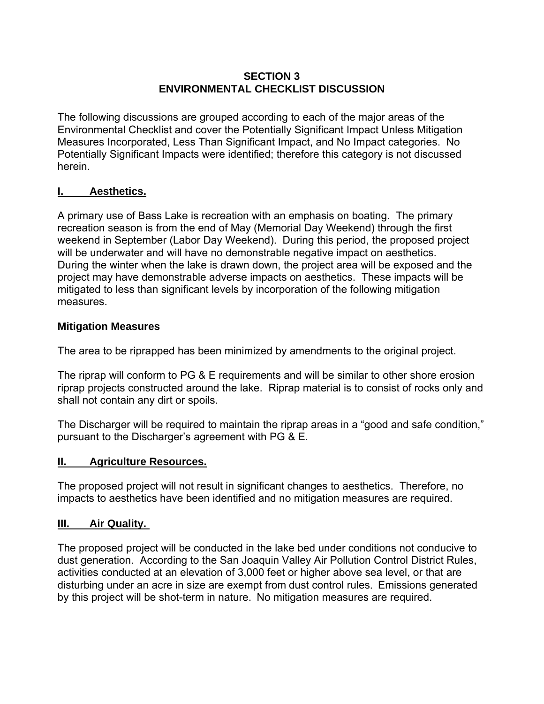#### **SECTION 3 ENVIRONMENTAL CHECKLIST DISCUSSION**

The following discussions are grouped according to each of the major areas of the Environmental Checklist and cover the Potentially Significant Impact Unless Mitigation Measures Incorporated, Less Than Significant Impact, and No Impact categories. No Potentially Significant Impacts were identified; therefore this category is not discussed herein.

#### **I. Aesthetics.**

A primary use of Bass Lake is recreation with an emphasis on boating. The primary recreation season is from the end of May (Memorial Day Weekend) through the first weekend in September (Labor Day Weekend). During this period, the proposed project will be underwater and will have no demonstrable negative impact on aesthetics. During the winter when the lake is drawn down, the project area will be exposed and the project may have demonstrable adverse impacts on aesthetics. These impacts will be mitigated to less than significant levels by incorporation of the following mitigation measures.

#### **Mitigation Measures**

The area to be riprapped has been minimized by amendments to the original project.

The riprap will conform to PG & E requirements and will be similar to other shore erosion riprap projects constructed around the lake. Riprap material is to consist of rocks only and shall not contain any dirt or spoils.

The Discharger will be required to maintain the riprap areas in a "good and safe condition," pursuant to the Discharger's agreement with PG & E.

#### **II. Agriculture Resources.**

The proposed project will not result in significant changes to aesthetics. Therefore, no impacts to aesthetics have been identified and no mitigation measures are required.

#### **III. Air Quality.**

The proposed project will be conducted in the lake bed under conditions not conducive to dust generation. According to the San Joaquin Valley Air Pollution Control District Rules, activities conducted at an elevation of 3,000 feet or higher above sea level, or that are disturbing under an acre in size are exempt from dust control rules. Emissions generated by this project will be shot-term in nature. No mitigation measures are required.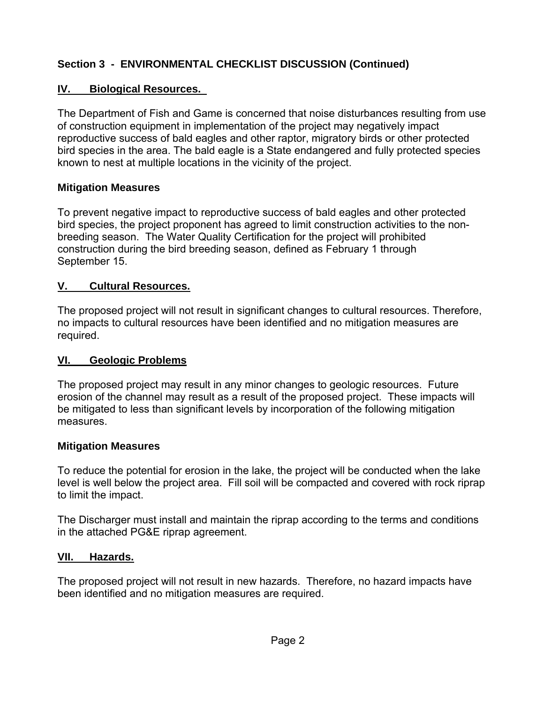### **IV. Biological Resources.**

The Department of Fish and Game is concerned that noise disturbances resulting from use of construction equipment in implementation of the project may negatively impact reproductive success of bald eagles and other raptor, migratory birds or other protected bird species in the area. The bald eagle is a State endangered and fully protected species known to nest at multiple locations in the vicinity of the project.

### **Mitigation Measures**

To prevent negative impact to reproductive success of bald eagles and other protected bird species, the project proponent has agreed to limit construction activities to the nonbreeding season. The Water Quality Certification for the project will prohibited construction during the bird breeding season, defined as February 1 through September 15.

#### **V. Cultural Resources.**

The proposed project will not result in significant changes to cultural resources. Therefore, no impacts to cultural resources have been identified and no mitigation measures are required.

#### **VI. Geologic Problems**

The proposed project may result in any minor changes to geologic resources. Future erosion of the channel may result as a result of the proposed project. These impacts will be mitigated to less than significant levels by incorporation of the following mitigation measures.

#### **Mitigation Measures**

To reduce the potential for erosion in the lake, the project will be conducted when the lake level is well below the project area. Fill soil will be compacted and covered with rock riprap to limit the impact.

The Discharger must install and maintain the riprap according to the terms and conditions in the attached PG&E riprap agreement.

#### **VII. Hazards.**

The proposed project will not result in new hazards. Therefore, no hazard impacts have been identified and no mitigation measures are required.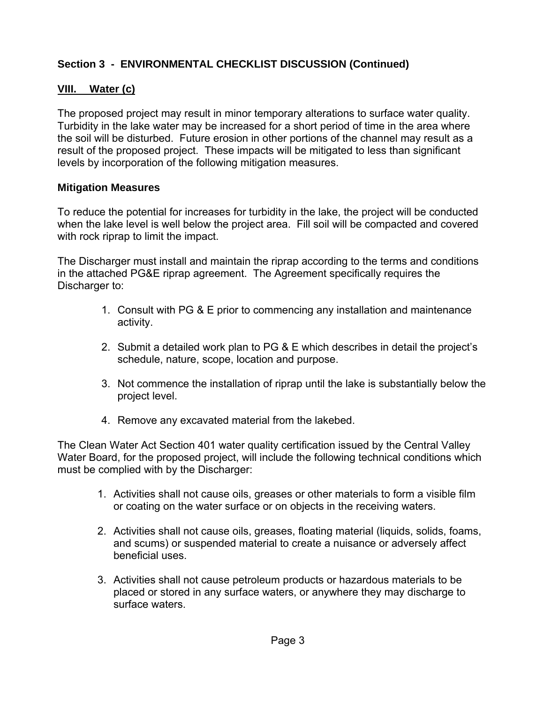### **VIII. Water (c)**

The proposed project may result in minor temporary alterations to surface water quality. Turbidity in the lake water may be increased for a short period of time in the area where the soil will be disturbed. Future erosion in other portions of the channel may result as a result of the proposed project. These impacts will be mitigated to less than significant levels by incorporation of the following mitigation measures.

### **Mitigation Measures**

To reduce the potential for increases for turbidity in the lake, the project will be conducted when the lake level is well below the project area. Fill soil will be compacted and covered with rock riprap to limit the impact.

The Discharger must install and maintain the riprap according to the terms and conditions in the attached PG&E riprap agreement. The Agreement specifically requires the Discharger to:

- 1. Consult with PG & E prior to commencing any installation and maintenance activity.
- 2. Submit a detailed work plan to PG & E which describes in detail the project's schedule, nature, scope, location and purpose.
- 3. Not commence the installation of riprap until the lake is substantially below the project level.
- 4. Remove any excavated material from the lakebed.

The Clean Water Act Section 401 water quality certification issued by the Central Valley Water Board, for the proposed project, will include the following technical conditions which must be complied with by the Discharger:

- 1. Activities shall not cause oils, greases or other materials to form a visible film or coating on the water surface or on objects in the receiving waters.
- 2. Activities shall not cause oils, greases, floating material (liquids, solids, foams, and scums) or suspended material to create a nuisance or adversely affect beneficial uses.
- 3. Activities shall not cause petroleum products or hazardous materials to be placed or stored in any surface waters, or anywhere they may discharge to surface waters.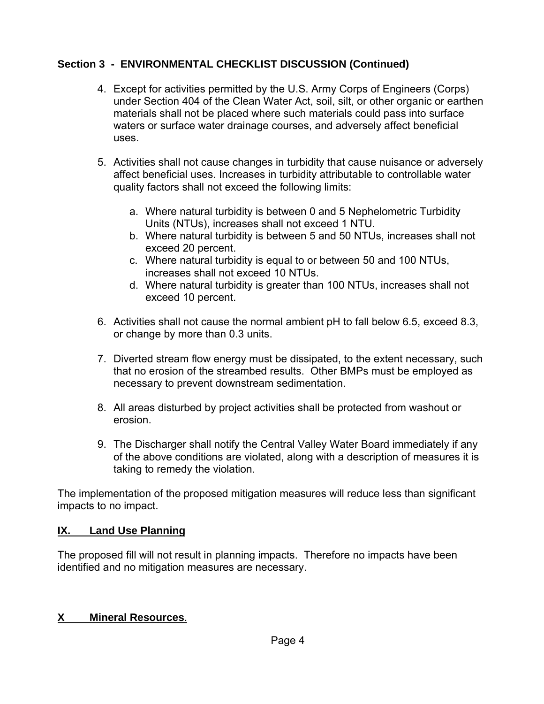- 4. Except for activities permitted by the U.S. Army Corps of Engineers (Corps) under Section 404 of the Clean Water Act, soil, silt, or other organic or earthen materials shall not be placed where such materials could pass into surface waters or surface water drainage courses, and adversely affect beneficial uses.
- 5. Activities shall not cause changes in turbidity that cause nuisance or adversely affect beneficial uses. Increases in turbidity attributable to controllable water quality factors shall not exceed the following limits:
	- a. Where natural turbidity is between 0 and 5 Nephelometric Turbidity Units (NTUs), increases shall not exceed 1 NTU.
	- b. Where natural turbidity is between 5 and 50 NTUs, increases shall not exceed 20 percent.
	- c. Where natural turbidity is equal to or between 50 and 100 NTUs, increases shall not exceed 10 NTUs.
	- d. Where natural turbidity is greater than 100 NTUs, increases shall not exceed 10 percent.
- 6. Activities shall not cause the normal ambient pH to fall below 6.5, exceed 8.3, or change by more than 0.3 units.
- 7. Diverted stream flow energy must be dissipated, to the extent necessary, such that no erosion of the streambed results. Other BMPs must be employed as necessary to prevent downstream sedimentation.
- 8. All areas disturbed by project activities shall be protected from washout or erosion.
- 9. The Discharger shall notify the Central Valley Water Board immediately if any of the above conditions are violated, along with a description of measures it is taking to remedy the violation.

The implementation of the proposed mitigation measures will reduce less than significant impacts to no impact.

# **IX. Land Use Planning**

The proposed fill will not result in planning impacts. Therefore no impacts have been identified and no mitigation measures are necessary.

# **X Mineral Resources**.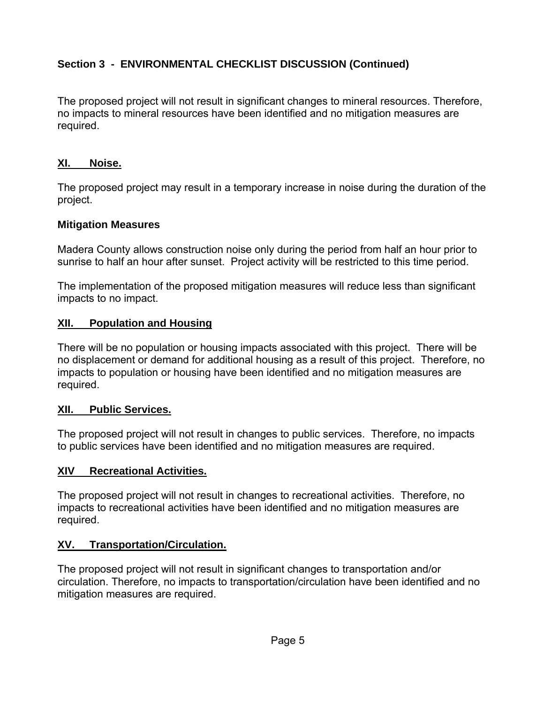The proposed project will not result in significant changes to mineral resources. Therefore, no impacts to mineral resources have been identified and no mitigation measures are required.

### **XI. Noise.**

The proposed project may result in a temporary increase in noise during the duration of the project.

### **Mitigation Measures**

Madera County allows construction noise only during the period from half an hour prior to sunrise to half an hour after sunset. Project activity will be restricted to this time period.

The implementation of the proposed mitigation measures will reduce less than significant impacts to no impact.

### **XII. Population and Housing**

There will be no population or housing impacts associated with this project. There will be no displacement or demand for additional housing as a result of this project. Therefore, no impacts to population or housing have been identified and no mitigation measures are required.

#### **XII. Public Services.**

The proposed project will not result in changes to public services. Therefore, no impacts to public services have been identified and no mitigation measures are required.

### **XIV Recreational Activities.**

The proposed project will not result in changes to recreational activities. Therefore, no impacts to recreational activities have been identified and no mitigation measures are required.

### **XV. Transportation/Circulation.**

The proposed project will not result in significant changes to transportation and/or circulation. Therefore, no impacts to transportation/circulation have been identified and no mitigation measures are required.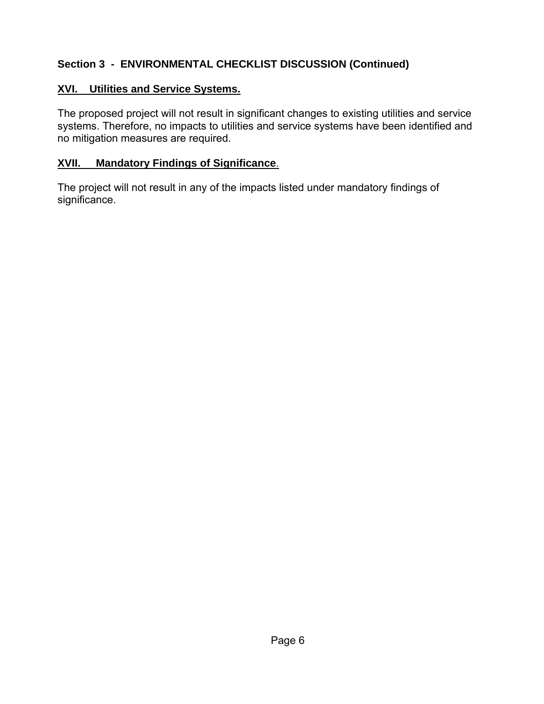### **XVI. Utilities and Service Systems.**

The proposed project will not result in significant changes to existing utilities and service systems. Therefore, no impacts to utilities and service systems have been identified and no mitigation measures are required.

### **XVII. Mandatory Findings of Significance**.

The project will not result in any of the impacts listed under mandatory findings of significance.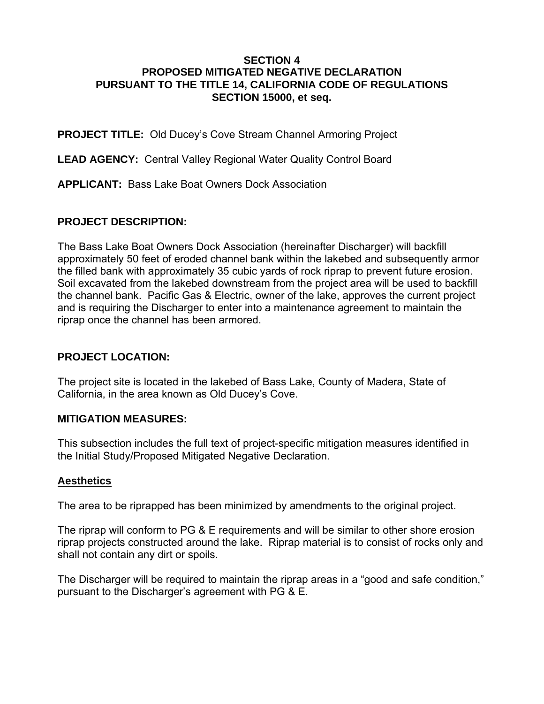#### **SECTION 4 PROPOSED MITIGATED NEGATIVE DECLARATION PURSUANT TO THE TITLE 14, CALIFORNIA CODE OF REGULATIONS SECTION 15000, et seq.**

**PROJECT TITLE:** Old Ducey's Cove Stream Channel Armoring Project

**LEAD AGENCY:** Central Valley Regional Water Quality Control Board

**APPLICANT:** Bass Lake Boat Owners Dock Association

### **PROJECT DESCRIPTION:**

The Bass Lake Boat Owners Dock Association (hereinafter Discharger) will backfill approximately 50 feet of eroded channel bank within the lakebed and subsequently armor the filled bank with approximately 35 cubic yards of rock riprap to prevent future erosion. Soil excavated from the lakebed downstream from the project area will be used to backfill the channel bank. Pacific Gas & Electric, owner of the lake, approves the current project and is requiring the Discharger to enter into a maintenance agreement to maintain the riprap once the channel has been armored.

#### **PROJECT LOCATION:**

The project site is located in the lakebed of Bass Lake, County of Madera, State of California, in the area known as Old Ducey's Cove.

#### **MITIGATION MEASURES:**

This subsection includes the full text of project-specific mitigation measures identified in the Initial Study/Proposed Mitigated Negative Declaration.

### **Aesthetics**

The area to be riprapped has been minimized by amendments to the original project.

The riprap will conform to PG & E requirements and will be similar to other shore erosion riprap projects constructed around the lake. Riprap material is to consist of rocks only and shall not contain any dirt or spoils.

The Discharger will be required to maintain the riprap areas in a "good and safe condition," pursuant to the Discharger's agreement with PG & E.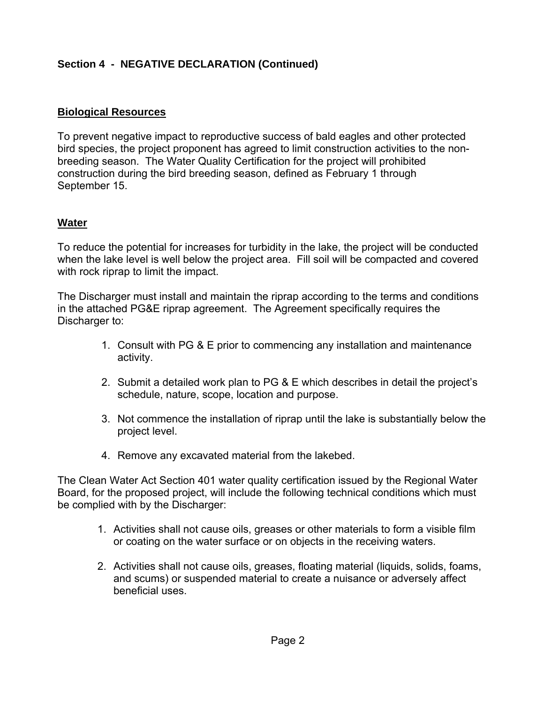# **Section 4 - NEGATIVE DECLARATION (Continued)**

#### **Biological Resources**

To prevent negative impact to reproductive success of bald eagles and other protected bird species, the project proponent has agreed to limit construction activities to the nonbreeding season. The Water Quality Certification for the project will prohibited construction during the bird breeding season, defined as February 1 through September 15.

#### **Water**

To reduce the potential for increases for turbidity in the lake, the project will be conducted when the lake level is well below the project area. Fill soil will be compacted and covered with rock riprap to limit the impact.

The Discharger must install and maintain the riprap according to the terms and conditions in the attached PG&E riprap agreement. The Agreement specifically requires the Discharger to:

- 1. Consult with PG & E prior to commencing any installation and maintenance activity.
- 2. Submit a detailed work plan to PG & E which describes in detail the project's schedule, nature, scope, location and purpose.
- 3. Not commence the installation of riprap until the lake is substantially below the project level.
- 4. Remove any excavated material from the lakebed.

The Clean Water Act Section 401 water quality certification issued by the Regional Water Board, for the proposed project, will include the following technical conditions which must be complied with by the Discharger:

- 1. Activities shall not cause oils, greases or other materials to form a visible film or coating on the water surface or on objects in the receiving waters.
- 2. Activities shall not cause oils, greases, floating material (liquids, solids, foams, and scums) or suspended material to create a nuisance or adversely affect beneficial uses.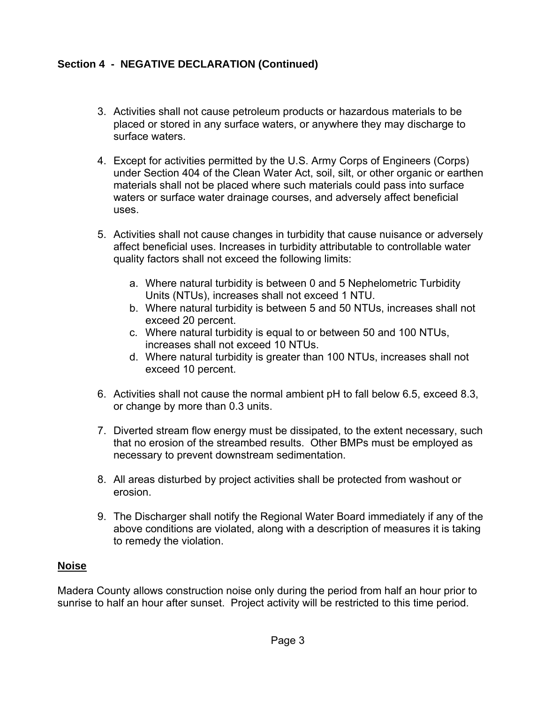# **Section 4 - NEGATIVE DECLARATION (Continued)**

- 3. Activities shall not cause petroleum products or hazardous materials to be placed or stored in any surface waters, or anywhere they may discharge to surface waters.
- 4. Except for activities permitted by the U.S. Army Corps of Engineers (Corps) under Section 404 of the Clean Water Act, soil, silt, or other organic or earthen materials shall not be placed where such materials could pass into surface waters or surface water drainage courses, and adversely affect beneficial uses.
- 5. Activities shall not cause changes in turbidity that cause nuisance or adversely affect beneficial uses. Increases in turbidity attributable to controllable water quality factors shall not exceed the following limits:
	- a. Where natural turbidity is between 0 and 5 Nephelometric Turbidity Units (NTUs), increases shall not exceed 1 NTU.
	- b. Where natural turbidity is between 5 and 50 NTUs, increases shall not exceed 20 percent.
	- c. Where natural turbidity is equal to or between 50 and 100 NTUs, increases shall not exceed 10 NTUs.
	- d. Where natural turbidity is greater than 100 NTUs, increases shall not exceed 10 percent.
- 6. Activities shall not cause the normal ambient pH to fall below 6.5, exceed 8.3, or change by more than 0.3 units.
- 7. Diverted stream flow energy must be dissipated, to the extent necessary, such that no erosion of the streambed results. Other BMPs must be employed as necessary to prevent downstream sedimentation.
- 8. All areas disturbed by project activities shall be protected from washout or erosion.
- 9. The Discharger shall notify the Regional Water Board immediately if any of the above conditions are violated, along with a description of measures it is taking to remedy the violation.

# **Noise**

Madera County allows construction noise only during the period from half an hour prior to sunrise to half an hour after sunset. Project activity will be restricted to this time period.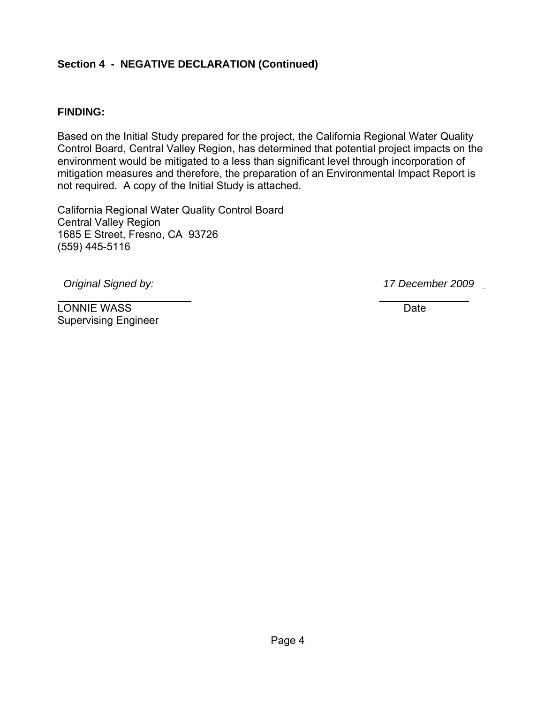### **Section 4 - NEGATIVE DECLARATION (Continued)**

#### **FINDING:**

Based on the Initial Study prepared for the project, the California Regional Water Quality Control Board, Central Valley Region, has determined that potential project impacts on the environment would be mitigated to a less than significant level through incorporation of mitigation measures and therefore, the preparation of an Environmental Impact Report is not required. A copy of the Initial Study is attached.

California Regional Water Quality Control Board Central Valley Region 1685 E Street, Fresno, CA 93726 (559) 445-5116

 *Original Signed by: 17 December 2009* 

 $\mathcal{L}=\mathcal{L}=\mathcal{L}=\mathcal{L}=\mathcal{L}=\mathcal{L}=\mathcal{L}=\mathcal{L}=\mathcal{L}=\mathcal{L}=\mathcal{L}=\mathcal{L}=\mathcal{L}=\mathcal{L}=\mathcal{L}=\mathcal{L}=\mathcal{L}=\mathcal{L}=\mathcal{L}=\mathcal{L}=\mathcal{L}=\mathcal{L}=\mathcal{L}=\mathcal{L}=\mathcal{L}=\mathcal{L}=\mathcal{L}=\mathcal{L}=\mathcal{L}=\mathcal{L}=\mathcal{L}=\mathcal{L}=\mathcal{L}=\mathcal{L}=\mathcal{L}=\mathcal{L}=\mathcal{$ 

LONNIE WASS Date Supervising Engineer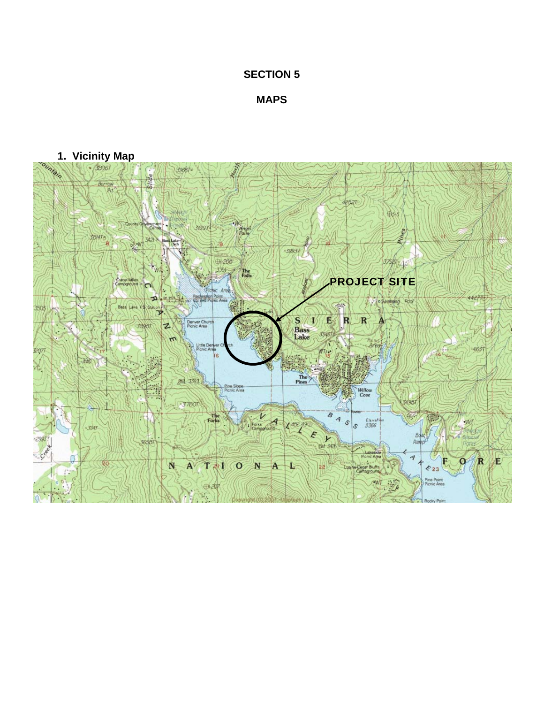### **SECTION 5**

**MAPS**

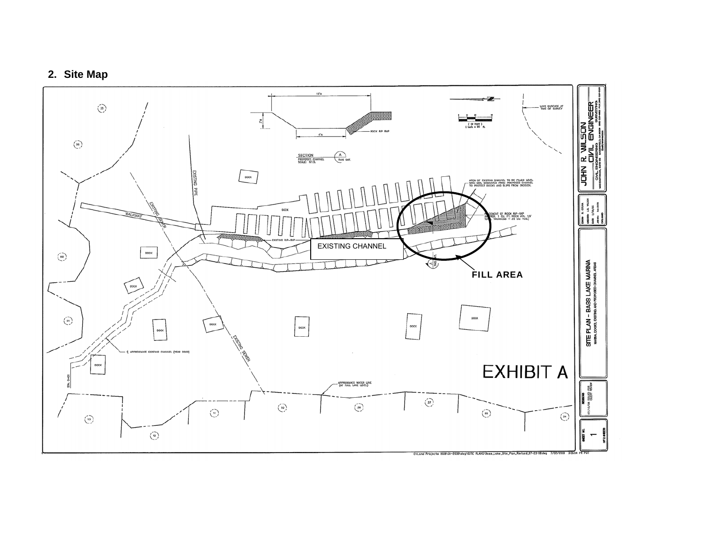# **2. Site Map**

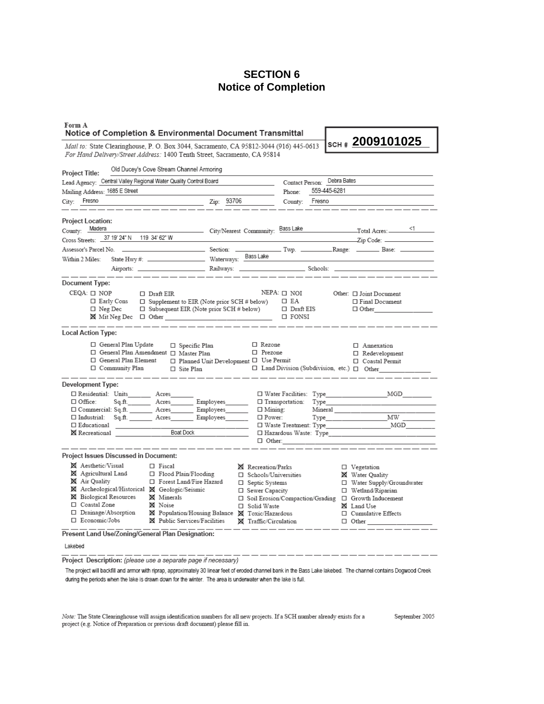#### **SECTION 6 Notice of Completion**

| Form A<br>Notice of Completion & Environmental Document Transmittal                                                                                                        |                                         |                                                       |                                |                                        |
|----------------------------------------------------------------------------------------------------------------------------------------------------------------------------|-----------------------------------------|-------------------------------------------------------|--------------------------------|----------------------------------------|
| <i>Mail to:</i> State Clearinghouse, P. O. Box 3044, Sacramento, CA 95812-3044 (916) 445-0613<br>For Hand Delivery/Street Address: 1400 Tenth Street, Sacramento, CA 95814 |                                         |                                                       |                                | SCH # 2009101025                       |
| Old Ducey's Cove Stream Channel Armoring                                                                                                                                   |                                         |                                                       |                                |                                        |
| Project Title:                                                                                                                                                             |                                         |                                                       |                                |                                        |
| Lead Agency: Central Valley Regional Water Quality Control Board                                                                                                           |                                         |                                                       | Debra Bates<br>Contact Person: |                                        |
| Mailing Address: 1685 E Street                                                                                                                                             |                                         | Phone:                                                | 559-445-6281                   |                                        |
| City: Fresno                                                                                                                                                               | Zip: 93706                              | County:                                               | Fresno                         |                                        |
| Project Location:                                                                                                                                                          |                                         |                                                       |                                |                                        |
| County: Madera                                                                                                                                                             | City/Nearest Community: Bass Lake       |                                                       |                                | $Total \, \text{A} \, \text{C}$        |
| 37 19' 24" N 119 34' 62" W<br>Cross Streets: _                                                                                                                             |                                         |                                                       |                                | Zip Code:                              |
| Section:                                                                                                                                                                   |                                         |                                                       |                                |                                        |
| Within 2 Miles:                                                                                                                                                            |                                         |                                                       |                                |                                        |
|                                                                                                                                                                            |                                         |                                                       |                                |                                        |
| Document Type:                                                                                                                                                             |                                         |                                                       |                                |                                        |
| $CEQA: \Box NOP$<br>$\Box$ Draft EIR                                                                                                                                       |                                         | $NEPA: \Box$ NOI                                      |                                | Other: $\Box$ Joint Document           |
| □ Early Cons<br>$\Box$ Supplement to EIR (Note prior SCH # below)                                                                                                          |                                         | $\square$ EA                                          |                                | □ Final Document                       |
| $\Box$ Subsequent EIR (Note prior SCH # below)<br>$\Box$ Neg Dec                                                                                                           |                                         | $\Box$ Draft EIS                                      |                                | $\Box$ Other                           |
|                                                                                                                                                                            |                                         | $\square$ FONSI                                       |                                |                                        |
| <b>Local Action Type:</b>                                                                                                                                                  |                                         |                                                       |                                |                                        |
| □ General Plan Update<br>□ Specific Plan                                                                                                                                   |                                         | □ Rezone                                              |                                | □ Annexation                           |
| □ General Plan Amendment □ Master Plan                                                                                                                                     |                                         | □ Prezone                                             |                                | $\Box$ Redevelopment                   |
| □ General Plan Element                                                                                                                                                     | □ Planned Unit Development □ Use Permit |                                                       |                                | □ Coastal Permit                       |
| □ Community Plan<br>□ Site Plan                                                                                                                                            |                                         | $\Box$ Land Division (Subdivision, etc.) $\Box$ Other |                                |                                        |
| <b>Development Type:</b>                                                                                                                                                   |                                         |                                                       |                                |                                        |
| □ Residential: Units________ Acres__                                                                                                                                       |                                         | $\Box$ Water Facilities: Type                         |                                | MGD                                    |
| Sq.ft.__________ Acres__________ Employees________<br>$\Box$ Office:                                                                                                       |                                         | □ Transportation:                                     | Type                           |                                        |
| □ Commercial: Sq.ft. ________ Acres_________ Employees________                                                                                                             |                                         | $\Box$ Mining:                                        | Mineral                        |                                        |
| Sq.ft. ________ Acres_________ Employees_______<br>$\Box$ Industrial:<br>□ Educational                                                                                     |                                         | $\square$ Power:                                      | Type                           | MW                                     |
| <b>Boat Dock</b><br>⊠ Recreational                                                                                                                                         |                                         |                                                       |                                |                                        |
|                                                                                                                                                                            |                                         | $\Box$ Other:                                         |                                |                                        |
| Project Issues Discussed in Document:                                                                                                                                      |                                         |                                                       |                                |                                        |
| <b>X</b> Aesthetic/Visual<br>$\Box$ Fiscal                                                                                                                                 | 区 Recreation/Parks                      |                                                       |                                | □ Vegetation                           |
| X Agricultural Land<br>□ Flood Plain/Flooding                                                                                                                              |                                         | □ Schools/Universities                                |                                | <b>X</b> Water Quality                 |
| <b>X</b> Air Quality<br>□ Forest Land/Fire Hazard                                                                                                                          | □ Septic Systems                        |                                                       |                                | □ Water Supply/Groundwater             |
| X Archeological/Historical X Geologic/Seismic                                                                                                                              |                                         | □ Sewer Capacity                                      |                                | □ Wetland/Riparian                     |
| <b>X</b> Biological Resources<br><b>X</b> Minerals<br>□ Coastal Zone<br><b>X</b> Noise                                                                                     |                                         | □ Soil Erosion/Compaction/Grading                     |                                | $\Box$ Growth Inducement<br>X Land Use |
| □ Drainage/Absorption<br>⊠ Population/Housing Balance ⊠ Toxic/Hazardous                                                                                                    |                                         | □ Solid Waste                                         |                                | □ Cumulative Effects                   |
| □ Economic/Jobs<br>X Public Services/Facilities                                                                                                                            |                                         | X Traffic/Circulation                                 |                                | $\Box$ Other                           |
| Present Land Use/Zoning/General Plan Designation:                                                                                                                          |                                         |                                                       |                                |                                        |
| Lakebed                                                                                                                                                                    |                                         |                                                       |                                |                                        |
|                                                                                                                                                                            |                                         |                                                       |                                |                                        |

Project Description: (please use a separate page if necessary)

The project will backfill and armor with riprap, approximately 30 linear feet of eroded channel bank in the Bass Lake lakebed. The channel contains Dogwood Creek during the periods when the lake is drawn down for the winter. The area is underwater when the lake is full.

Note: The State Clearinghouse will assign identification numbers for all new projects. If a SCH number already exists for a project (e.g. Notice of Preparation or previous draft document) please fill in.

September 2005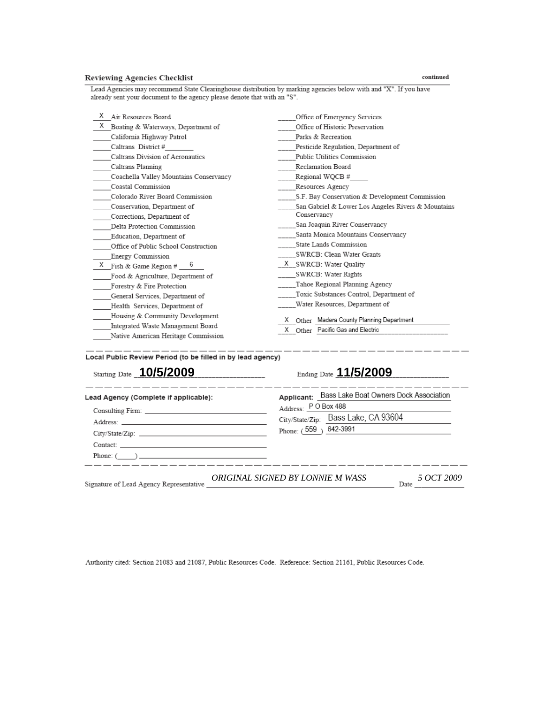#### **Reviewing Agencies Checklist**

Lead Agencies may recommend State Clearinghouse distribution by marking agencies below with and "X". If you have already sent your document to the agency please denote that with an "S".

| Χ<br>Air Resources Board                | Office of Emergency Services                       |  |  |
|-----------------------------------------|----------------------------------------------------|--|--|
| Χ<br>Boating & Waterways, Department of | Office of Historic Preservation                    |  |  |
| California Highway Patrol               | Parks & Recreation                                 |  |  |
| Caltrans District #                     | Pesticide Regulation, Department of                |  |  |
| Caltrans Division of Aeronautics        | Public Utilities Commission                        |  |  |
| Caltrans Planning                       | Reclamation Board                                  |  |  |
| Coachella Valley Mountains Conservancy  | Regional WQCB #                                    |  |  |
| Coastal Commission                      | Resources Agency                                   |  |  |
| Colorado River Board Commission         | S.F. Bay Conservation & Development Commission     |  |  |
| Conservation, Department of             | San Gabriel & Lower Los Angeles Rivers & Mountains |  |  |
| Corrections, Department of              | Conservancy                                        |  |  |
| Delta Protection Commission             | San Joaquin River Conservancy                      |  |  |
| Education, Department of                | Santa Monica Mountains Conservancy                 |  |  |
| Office of Public School Construction    | State Lands Commission                             |  |  |
| Energy Commission                       | SWRCB: Clean Water Grants                          |  |  |
| X<br>Fish & Game Region # $\frac{6}{5}$ | X SWRCB: Water Quality                             |  |  |
| Food & Agriculture, Department of       | SWRCB: Water Rights                                |  |  |
| Forestry & Fire Protection              | Tahoe Regional Planning Agency                     |  |  |
| General Services, Department of         | Toxic Substances Control, Department of            |  |  |
| Health Services, Department of          | Water Resources, Department of                     |  |  |
| Housing & Community Development         | Other Madera County Planning Department            |  |  |
| Integrated Waste Management Board       | X Other Pacific Gas and Electric                   |  |  |
| Native American Heritage Commission     |                                                    |  |  |

Local Public Review Period (to be filled in by lead agency)

| Starting Date 10/5/2009                                                                                                                                                                                                        | Ending Date 11/5/2009                                                                    |  |
|--------------------------------------------------------------------------------------------------------------------------------------------------------------------------------------------------------------------------------|------------------------------------------------------------------------------------------|--|
| Lead Agency (Complete if applicable):                                                                                                                                                                                          | Applicant: Bass Lake Boat Owners Dock Association                                        |  |
|                                                                                                                                                                                                                                | Address: PO Box 488<br>Address: <u>FU BOX 488</u><br>City/State/Zip: Bass Lake, CA 93604 |  |
| Address: No. 2014 19:30 Address: No. 2014 19:30 Address: No. 2014 19:30 Address: No. 2014 19:30 Address: No. 2014 19:30 Address: No. 2014 19:30 Address: No. 2014 19:30 Address: No. 2014 19:30 Address: No. 2014 19:30 Addres |                                                                                          |  |
|                                                                                                                                                                                                                                | Phone: (559) 642-3991                                                                    |  |
|                                                                                                                                                                                                                                |                                                                                          |  |
|                                                                                                                                                                                                                                |                                                                                          |  |
| Signature of Lead Agency Representative                                                                                                                                                                                        | ORIGINAL SIGNED BY LONNIE M WASS<br>5 OCT 2009<br>Date                                   |  |

Authority cited: Section 21083 and 21087, Public Resources Code. Reference: Section 21161, Public Resources Code.

#### $\rm continued$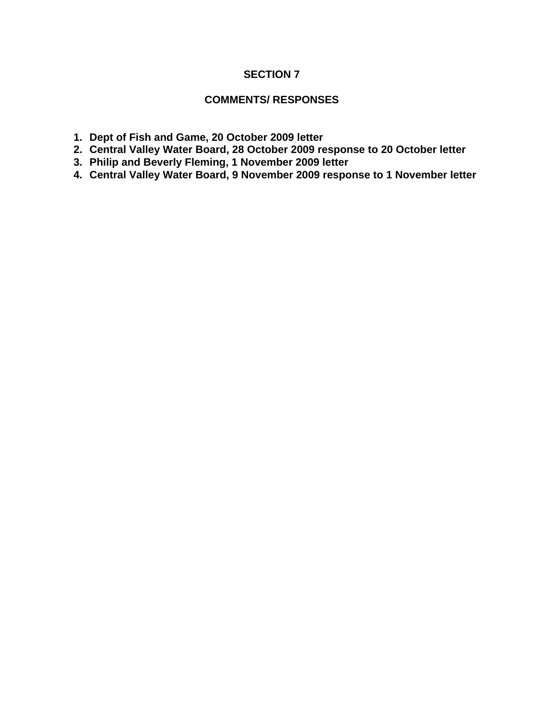#### **SECTION 7**

#### **COMMENTS/ RESPONSES**

- **1. Dept of Fish and Game, 20 October 2009 letter**
- **2. Central Valley Water Board, 28 October 2009 response to 20 October letter**
- **3. Philip and Beverly Fleming, 1 November 2009 letter**
- **4. Central Valley Water Board, 9 November 2009 response to 1 November letter**